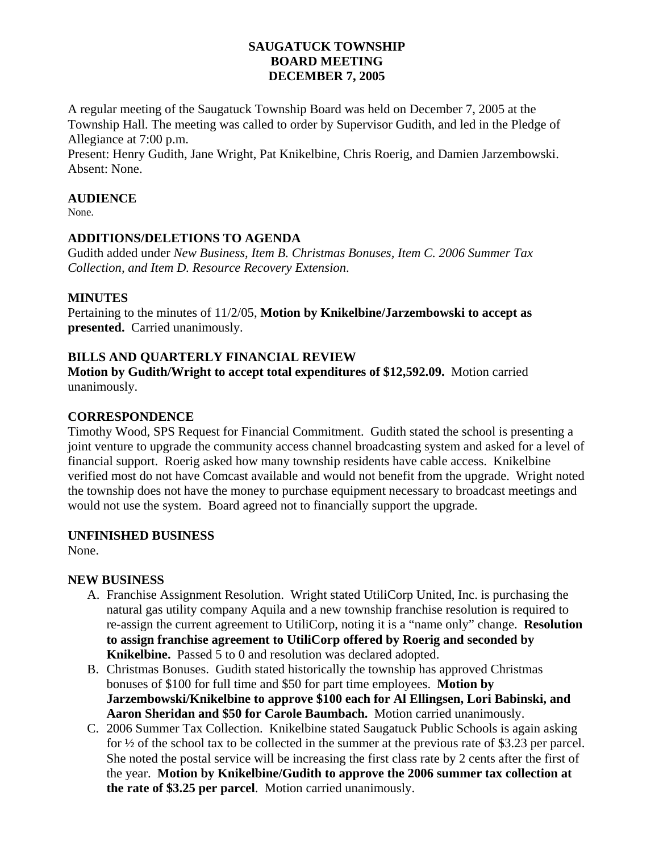# **SAUGATUCK TOWNSHIP BOARD MEETING DECEMBER 7, 2005**

A regular meeting of the Saugatuck Township Board was held on December 7, 2005 at the Township Hall. The meeting was called to order by Supervisor Gudith, and led in the Pledge of Allegiance at 7:00 p.m.

Present: Henry Gudith, Jane Wright, Pat Knikelbine, Chris Roerig, and Damien Jarzembowski. Absent: None.

## **AUDIENCE**

None.

## **ADDITIONS/DELETIONS TO AGENDA**

Gudith added under *New Business, Item B. Christmas Bonuses, Item C. 2006 Summer Tax Collection, and Item D. Resource Recovery Extension*.

## **MINUTES**

Pertaining to the minutes of 11/2/05, **Motion by Knikelbine/Jarzembowski to accept as presented.** Carried unanimously.

## **BILLS AND QUARTERLY FINANCIAL REVIEW**

**Motion by Gudith/Wright to accept total expenditures of \$12,592.09.** Motion carried unanimously.

## **CORRESPONDENCE**

Timothy Wood, SPS Request for Financial Commitment. Gudith stated the school is presenting a joint venture to upgrade the community access channel broadcasting system and asked for a level of financial support. Roerig asked how many township residents have cable access. Knikelbine verified most do not have Comcast available and would not benefit from the upgrade. Wright noted the township does not have the money to purchase equipment necessary to broadcast meetings and would not use the system. Board agreed not to financially support the upgrade.

#### **UNFINISHED BUSINESS**

None.

# **NEW BUSINESS**

- A. Franchise Assignment Resolution. Wright stated UtiliCorp United, Inc. is purchasing the natural gas utility company Aquila and a new township franchise resolution is required to re-assign the current agreement to UtiliCorp, noting it is a "name only" change. **Resolution to assign franchise agreement to UtiliCorp offered by Roerig and seconded by Knikelbine.** Passed 5 to 0 and resolution was declared adopted.
- B. Christmas Bonuses. Gudith stated historically the township has approved Christmas bonuses of \$100 for full time and \$50 for part time employees. **Motion by Jarzembowski/Knikelbine to approve \$100 each for Al Ellingsen, Lori Babinski, and Aaron Sheridan and \$50 for Carole Baumbach.** Motion carried unanimously.
- C. 2006 Summer Tax Collection. Knikelbine stated Saugatuck Public Schools is again asking for ½ of the school tax to be collected in the summer at the previous rate of \$3.23 per parcel. She noted the postal service will be increasing the first class rate by 2 cents after the first of the year. **Motion by Knikelbine/Gudith to approve the 2006 summer tax collection at the rate of \$3.25 per parcel**. Motion carried unanimously.